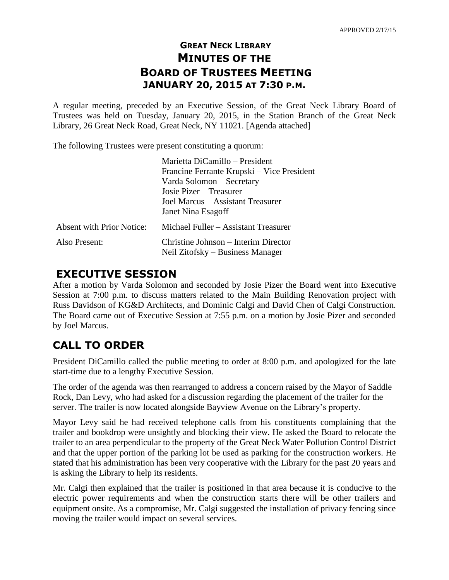## **GREAT NECK LIBRARY MINUTES OF THE BOARD OF TRUSTEES MEETING JANUARY 20, 2015 AT 7:30 P.M.**

A regular meeting, preceded by an Executive Session, of the Great Neck Library Board of Trustees was held on Tuesday, January 20, 2015, in the Station Branch of the Great Neck Library, 26 Great Neck Road, Great Neck, NY 11021. [Agenda attached]

The following Trustees were present constituting a quorum:

|                                  | Marietta DiCamillo – President             |  |
|----------------------------------|--------------------------------------------|--|
|                                  | Francine Ferrante Krupski – Vice President |  |
|                                  | Varda Solomon - Secretary                  |  |
|                                  | Josie Pizer – Treasurer                    |  |
|                                  | Joel Marcus – Assistant Treasurer          |  |
|                                  | Janet Nina Esagoff                         |  |
| <b>Absent with Prior Notice:</b> | Michael Fuller – Assistant Treasurer       |  |
| Also Present:                    | Christine Johnson – Interim Director       |  |
|                                  | Neil Zitofsky – Business Manager           |  |

## **EXECUTIVE SESSION**

After a motion by Varda Solomon and seconded by Josie Pizer the Board went into Executive Session at 7:00 p.m. to discuss matters related to the Main Building Renovation project with Russ Davidson of KG&D Architects, and Dominic Calgi and David Chen of Calgi Construction. The Board came out of Executive Session at 7:55 p.m. on a motion by Josie Pizer and seconded by Joel Marcus.

# **CALL TO ORDER**

President DiCamillo called the public meeting to order at 8:00 p.m. and apologized for the late start-time due to a lengthy Executive Session.

The order of the agenda was then rearranged to address a concern raised by the Mayor of Saddle Rock, Dan Levy, who had asked for a discussion regarding the placement of the trailer for the server. The trailer is now located alongside Bayview Avenue on the Library's property.

Mayor Levy said he had received telephone calls from his constituents complaining that the trailer and bookdrop were unsightly and blocking their view. He asked the Board to relocate the trailer to an area perpendicular to the property of the Great Neck Water Pollution Control District and that the upper portion of the parking lot be used as parking for the construction workers. He stated that his administration has been very cooperative with the Library for the past 20 years and is asking the Library to help its residents.

Mr. Calgi then explained that the trailer is positioned in that area because it is conducive to the electric power requirements and when the construction starts there will be other trailers and equipment onsite. As a compromise, Mr. Calgi suggested the installation of privacy fencing since moving the trailer would impact on several services.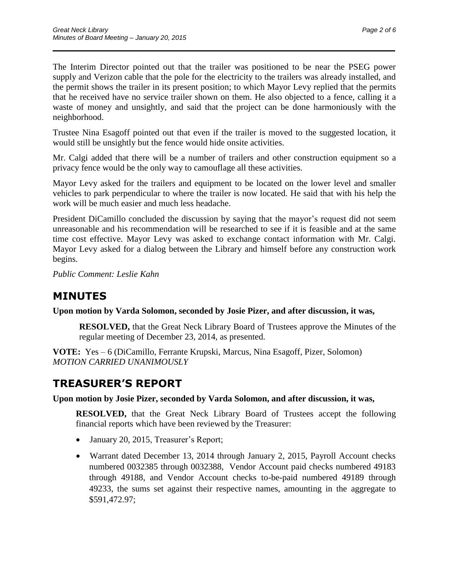The Interim Director pointed out that the trailer was positioned to be near the PSEG power supply and Verizon cable that the pole for the electricity to the trailers was already installed, and the permit shows the trailer in its present position; to which Mayor Levy replied that the permits that he received have no service trailer shown on them. He also objected to a fence, calling it a waste of money and unsightly, and said that the project can be done harmoniously with the neighborhood.

 $\overline{\phantom{a}}$  , and the contract of the contract of the contract of the contract of the contract of the contract of the contract of the contract of the contract of the contract of the contract of the contract of the contrac

Trustee Nina Esagoff pointed out that even if the trailer is moved to the suggested location, it would still be unsightly but the fence would hide onsite activities.

Mr. Calgi added that there will be a number of trailers and other construction equipment so a privacy fence would be the only way to camouflage all these activities.

Mayor Levy asked for the trailers and equipment to be located on the lower level and smaller vehicles to park perpendicular to where the trailer is now located. He said that with his help the work will be much easier and much less headache.

President DiCamillo concluded the discussion by saying that the mayor's request did not seem unreasonable and his recommendation will be researched to see if it is feasible and at the same time cost effective. Mayor Levy was asked to exchange contact information with Mr. Calgi. Mayor Levy asked for a dialog between the Library and himself before any construction work begins.

*Public Comment: Leslie Kahn*

## **MINUTES**

**Upon motion by Varda Solomon, seconded by Josie Pizer, and after discussion, it was,**

**RESOLVED,** that the Great Neck Library Board of Trustees approve the Minutes of the regular meeting of December 23, 2014, as presented.

**VOTE:** Yes – 6 (DiCamillo, Ferrante Krupski, Marcus, Nina Esagoff, Pizer, Solomon) *MOTION CARRIED UNANIMOUSLY* 

# **TREASURER'S REPORT**

#### **Upon motion by Josie Pizer, seconded by Varda Solomon, and after discussion, it was,**

**RESOLVED,** that the Great Neck Library Board of Trustees accept the following financial reports which have been reviewed by the Treasurer:

- January 20, 2015, Treasurer's Report;
- Warrant dated December 13, 2014 through January 2, 2015, Payroll Account checks numbered 0032385 through 0032388, Vendor Account paid checks numbered 49183 through 49188, and Vendor Account checks to-be-paid numbered 49189 through 49233, the sums set against their respective names, amounting in the aggregate to \$591,472.97;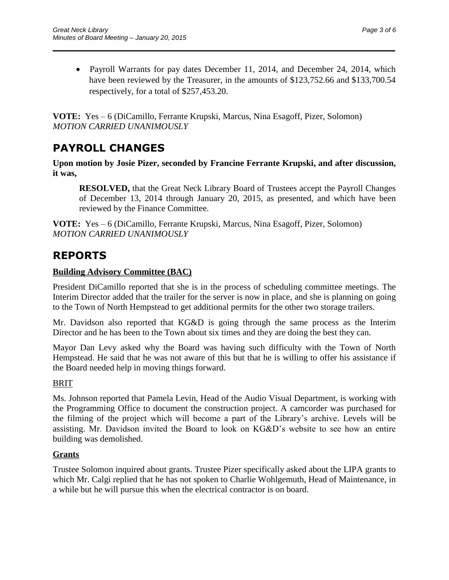• Payroll Warrants for pay dates December 11, 2014, and December 24, 2014, which have been reviewed by the Treasurer, in the amounts of \$123,752.66 and \$133,700.54 respectively, for a total of \$257,453.20.

 $\overline{\phantom{a}}$  , and the contract of the contract of the contract of the contract of the contract of the contract of the contract of the contract of the contract of the contract of the contract of the contract of the contrac

**VOTE:** Yes – 6 (DiCamillo, Ferrante Krupski, Marcus, Nina Esagoff, Pizer, Solomon) *MOTION CARRIED UNANIMOUSLY*

# **PAYROLL CHANGES**

**Upon motion by Josie Pizer, seconded by Francine Ferrante Krupski, and after discussion, it was,**

**RESOLVED,** that the Great Neck Library Board of Trustees accept the Payroll Changes of December 13, 2014 through January 20, 2015, as presented, and which have been reviewed by the Finance Committee.

**VOTE:** Yes – 6 (DiCamillo, Ferrante Krupski, Marcus, Nina Esagoff, Pizer, Solomon) *MOTION CARRIED UNANIMOUSLY*

# **REPORTS**

### **Building Advisory Committee (BAC)**

President DiCamillo reported that she is in the process of scheduling committee meetings. The Interim Director added that the trailer for the server is now in place, and she is planning on going to the Town of North Hempstead to get additional permits for the other two storage trailers.

Mr. Davidson also reported that KG&D is going through the same process as the Interim Director and he has been to the Town about six times and they are doing the best they can.

Mayor Dan Levy asked why the Board was having such difficulty with the Town of North Hempstead. He said that he was not aware of this but that he is willing to offer his assistance if the Board needed help in moving things forward.

### BRIT

Ms. Johnson reported that Pamela Levin, Head of the Audio Visual Department, is working with the Programming Office to document the construction project. A camcorder was purchased for the filming of the project which will become a part of the Library's archive. Levels will be assisting. Mr. Davidson invited the Board to look on KG&D's website to see how an entire building was demolished.

### **Grants**

Trustee Solomon inquired about grants. Trustee Pizer specifically asked about the LIPA grants to which Mr. Calgi replied that he has not spoken to Charlie Wohlgemuth, Head of Maintenance, in a while but he will pursue this when the electrical contractor is on board.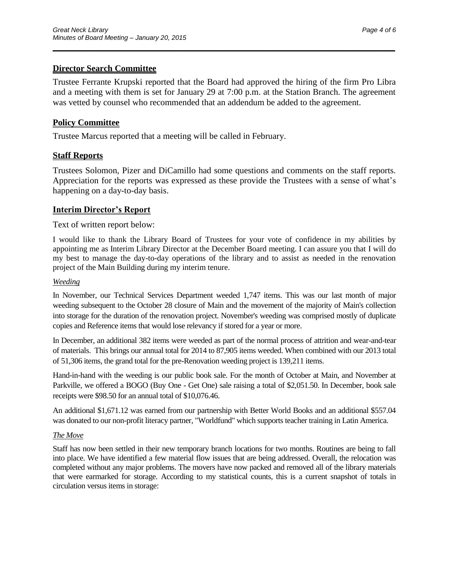#### **Director Search Committee**

Trustee Ferrante Krupski reported that the Board had approved the hiring of the firm Pro Libra and a meeting with them is set for January 29 at 7:00 p.m. at the Station Branch. The agreement was vetted by counsel who recommended that an addendum be added to the agreement.

 $\overline{\phantom{a}}$  , and the contract of the contract of the contract of the contract of the contract of the contract of the contract of the contract of the contract of the contract of the contract of the contract of the contrac

#### **Policy Committee**

Trustee Marcus reported that a meeting will be called in February.

#### **Staff Reports**

Trustees Solomon, Pizer and DiCamillo had some questions and comments on the staff reports. Appreciation for the reports was expressed as these provide the Trustees with a sense of what's happening on a day-to-day basis.

#### **Interim Director's Report**

#### Text of written report below:

I would like to thank the Library Board of Trustees for your vote of confidence in my abilities by appointing me as Interim Library Director at the December Board meeting. I can assure you that I will do my best to manage the day-to-day operations of the library and to assist as needed in the renovation project of the Main Building during my interim tenure.

#### *Weeding*

In November, our Technical Services Department weeded 1,747 items. This was our last month of major weeding subsequent to the October 28 closure of Main and the movement of the majority of Main's collection into storage for the duration of the renovation project. November's weeding was comprised mostly of duplicate copies and Reference items that would lose relevancy if stored for a year or more.

In December, an additional 382 items were weeded as part of the normal process of attrition and wear-and-tear of materials. This brings our annual total for 2014 to 87,905 items weeded. When combined with our 2013 total of 51,306 items, the grand total for the pre-Renovation weeding project is 139,211 items.

Hand-in-hand with the weeding is our public book sale. For the month of October at Main, and November at Parkville, we offered a BOGO (Buy One - Get One) sale raising a total of \$2,051.50. In December, book sale receipts were \$98.50 for an annual total of \$10,076.46.

An additional \$1,671.12 was earned from our partnership with Better World Books and an additional \$557.04 was donated to our non-profit literacy partner, "Worldfund" which supports teacher training in Latin America.

#### *The Move*

Staff has now been settled in their new temporary branch locations for two months. Routines are being to fall into place. We have identified a few material flow issues that are being addressed. Overall, the relocation was completed without any major problems. The movers have now packed and removed all of the library materials that were earmarked for storage. According to my statistical counts, this is a current snapshot of totals in circulation versus items in storage: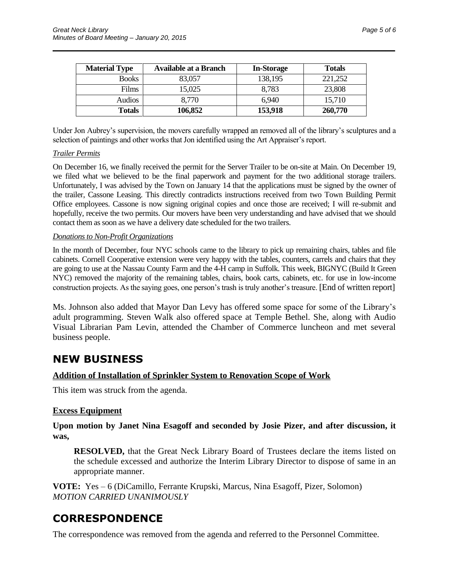| <b>Material Type</b> | <b>Available at a Branch</b> | <b>In-Storage</b> | <b>Totals</b> |
|----------------------|------------------------------|-------------------|---------------|
| <b>Books</b>         | 83,057                       | 138,195           | 221,252       |
| <b>Films</b>         | 15,025                       | 8,783             | 23,808        |
| Audios               | 8,770                        | 6.940             | 15,710        |
| <b>Totals</b>        | 106,852                      | 153,918           | 260,770       |

 $\overline{\phantom{a}}$  , and the contract of the contract of the contract of the contract of the contract of the contract of the contract of the contract of the contract of the contract of the contract of the contract of the contrac

Under Jon Aubrey's supervision, the movers carefully wrapped an removed all of the library's sculptures and a selection of paintings and other works that Jon identified using the Art Appraiser's report.

#### *Trailer Permits*

On December 16, we finally received the permit for the Server Trailer to be on-site at Main. On December 19, we filed what we believed to be the final paperwork and payment for the two additional storage trailers. Unfortunately, I was advised by the Town on January 14 that the applications must be signed by the owner of the trailer, Cassone Leasing. This directly contradicts instructions received from two Town Building Permit Office employees. Cassone is now signing original copies and once those are received; I will re-submit and hopefully, receive the two permits. Our movers have been very understanding and have advised that we should contact them as soon as we have a delivery date scheduled for the two trailers.

#### *Donations to Non-Profit Organizations*

In the month of December, four NYC schools came to the library to pick up remaining chairs, tables and file cabinets. Cornell Cooperative extension were very happy with the tables, counters, carrels and chairs that they are going to use at the Nassau County Farm and the 4-H camp in Suffolk. This week, BIGNYC (Build It Green NYC) removed the majority of the remaining tables, chairs, book carts, cabinets, etc. for use in low-income construction projects. As the saying goes, one person's trash is truly another's treasure. [End of written report]

Ms. Johnson also added that Mayor Dan Levy has offered some space for some of the Library's adult programming. Steven Walk also offered space at Temple Bethel. She, along with Audio Visual Librarian Pam Levin, attended the Chamber of Commerce luncheon and met several business people.

## **NEW BUSINESS**

#### **Addition of Installation of Sprinkler System to Renovation Scope of Work**

This item was struck from the agenda.

#### **Excess Equipment**

**Upon motion by Janet Nina Esagoff and seconded by Josie Pizer, and after discussion, it was,**

**RESOLVED,** that the Great Neck Library Board of Trustees declare the items listed on the schedule excessed and authorize the Interim Library Director to dispose of same in an appropriate manner.

**VOTE:** Yes – 6 (DiCamillo, Ferrante Krupski, Marcus, Nina Esagoff, Pizer, Solomon) *MOTION CARRIED UNANIMOUSLY*

## **CORRESPONDENCE**

The correspondence was removed from the agenda and referred to the Personnel Committee.